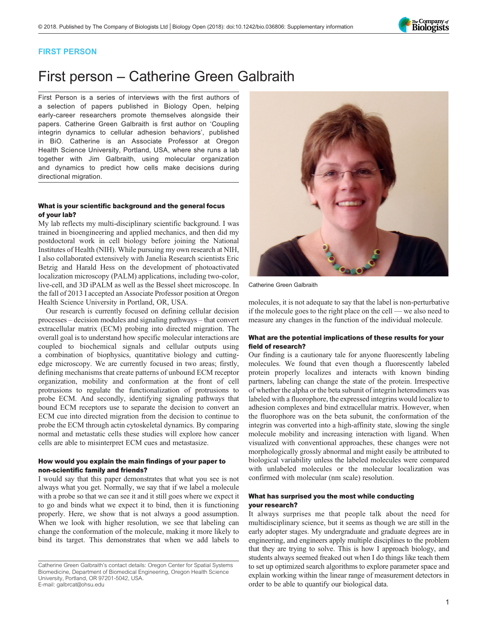

### FIRST PERSON

# First person – Catherine Green Galbraith

First Person is a series of interviews with the first authors of a selection of papers published in Biology Open, helping early-career researchers promote themselves alongside their papers. Catherine Green Galbraith is first author on '[Coupling](#page-1-0) [integrin dynamics to cellular adhesion behaviors](#page-1-0)', published in BiO. Catherine is an Associate Professor at Oregon Health Science University, Portland, USA, where she runs a lab together with Jim Galbraith, using molecular organization and dynamics to predict how cells make decisions during directional migration.

### What is your scientific background and the general focus of your lab?

My lab reflects my multi-disciplinary scientific background. I was trained in bioengineering and applied mechanics, and then did my postdoctoral work in cell biology before joining the National Institutes of Health (NIH). While pursuing my own research at NIH, I also collaborated extensively with Janelia Research scientists Eric Betzig and Harald Hess on the development of photoactivated localization microscopy (PALM) applications, including two-color, live-cell, and 3D iPALM as well as the Bessel sheet microscope. In the fall of 2013 I accepted an Associate Professor position at Oregon Health Science University in Portland, OR, USA.

Our research is currently focused on defining cellular decision processes – decision modules and signaling pathways – that convert extracellular matrix (ECM) probing into directed migration. The overall goal is to understand how specific molecular interactions are coupled to biochemical signals and cellular outputs using a combination of biophysics, quantitative biology and cuttingedge microscopy. We are currently focused in two areas; firstly, defining mechanisms that create patterns of unbound ECM receptor organization, mobility and conformation at the front of cell protrusions to regulate the functionalization of protrusions to probe ECM. And secondly, identifying signaling pathways that bound ECM receptors use to separate the decision to convert an ECM cue into directed migration from the decision to continue to probe the ECM through actin cytoskeletal dynamics. By comparing normal and metastatic cells these studies will explore how cancer cells are able to misinterpret ECM cues and metastasize.

### How would you explain the main findings of your paper to non-scientific family and friends?

I would say that this paper demonstrates that what you see is not always what you get. Normally, we say that if we label a molecule with a probe so that we can see it and it still goes where we expect it to go and binds what we expect it to bind, then it is functioning properly. Here, we show that is not always a good assumption. When we look with higher resolution, we see that labeling can change the conformation of the molecule, making it more likely to bind its target. This demonstrates that when we add labels to



Catherine Green Galbraith

molecules, it is not adequate to say that the label is non-perturbative if the molecule goes to the right place on the cell — we also need to measure any changes in the function of the individual molecule.

### What are the potential implications of these results for your field of research?

Our finding is a cautionary tale for anyone fluorescently labeling molecules. We found that even though a fluorescently labeled protein properly localizes and interacts with known binding partners, labeling can change the state of the protein. Irrespective of whether the alpha or the beta subunit of integrin heterodimers was labeled with a fluorophore, the expressed integrins would localize to adhesion complexes and bind extracellular matrix. However, when the fluorophore was on the beta subunit, the conformation of the integrin was converted into a high-affinity state, slowing the single molecule mobility and increasing interaction with ligand. When visualized with conventional approaches, these changes were not morphologically grossly abnormal and might easily be attributed to biological variability unless the labeled molecules were compared with unlabeled molecules or the molecular localization was confirmed with molecular (nm scale) resolution.

### What has surprised you the most while conducting your research?

It always surprises me that people talk about the need for multidisciplinary science, but it seems as though we are still in the early adopter stages. My undergraduate and graduate degrees are in engineering, and engineers apply multiple disciplines to the problem that they are trying to solve. This is how I approach biology, and students always seemed freaked out when I do things like teach them to set up optimized search algorithms to explore parameter space and explain working within the linear range of measurement detectors in order to be able to quantify our biological data.

Catherine Green Galbraith's contact details: Oregon Center for Spatial Systems Biomedicine, Department of Biomedical Engineering, Oregon Health Science University, Portland, OR 97201-5042, USA. E-mail: [galbrcat@ohsu.edu](mailto:galbrcat@ohsu.edu)